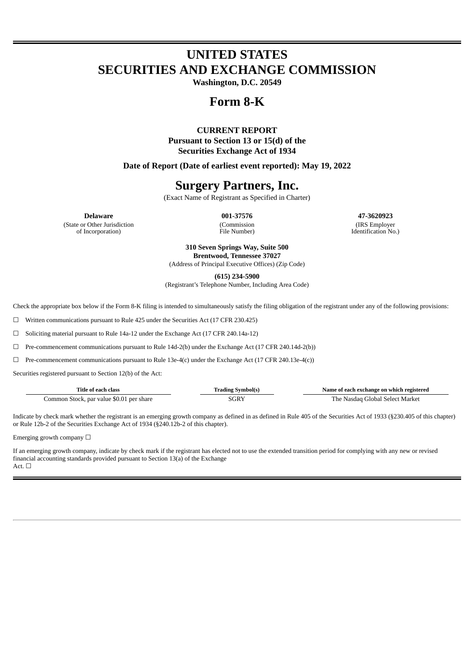# **UNITED STATES SECURITIES AND EXCHANGE COMMISSION**

**Washington, D.C. 20549**

## **Form 8-K**

### **CURRENT REPORT Pursuant to Section 13 or 15(d) of the Securities Exchange Act of 1934**

**Date of Report (Date of earliest event reported): May 19, 2022**

# **Surgery Partners, Inc.**

(Exact Name of Registrant as Specified in Charter)

(State or Other Jurisdiction

of Incorporation)

(Commission File Number)

**Delaware 001-37576 47-3620923** (IRS Employer Identification No.)

> **310 Seven Springs Way, Suite 500 Brentwood, Tennessee 37027**

(Address of Principal Executive Offices) (Zip Code)

**(615) 234-5900**

(Registrant's Telephone Number, Including Area Code)

Check the appropriate box below if the Form 8-K filing is intended to simultaneously satisfy the filing obligation of the registrant under any of the following provisions:

☐ Written communications pursuant to Rule 425 under the Securities Act (17 CFR 230.425)

 $\Box$  Soliciting material pursuant to Rule 14a-12 under the Exchange Act (17 CFR 240.14a-12)

 $\Box$  Pre-commencement communications pursuant to Rule 14d-2(b) under the Exchange Act (17 CFR 240.14d-2(b))

 $\Box$  Pre-commencement communications pursuant to Rule 13e-4(c) under the Exchange Act (17 CFR 240.13e-4(c))

Securities registered pursuant to Section 12(b) of the Act:

| Title of each class                      | Trading Symbol(s) | Name of each exchange on which registered |
|------------------------------------------|-------------------|-------------------------------------------|
| Common Stock, par value \$0.01 per share | SGRY              | The Nasdag Global Select Market           |

Indicate by check mark whether the registrant is an emerging growth company as defined in as defined in Rule 405 of the Securities Act of 1933 (§230.405 of this chapter) or Rule 12b-2 of the Securities Exchange Act of 1934 (§240.12b-2 of this chapter).

Emerging growth company  $\Box$ 

If an emerging growth company, indicate by check mark if the registrant has elected not to use the extended transition period for complying with any new or revised financial accounting standards provided pursuant to Section 13(a) of the Exchange Act. □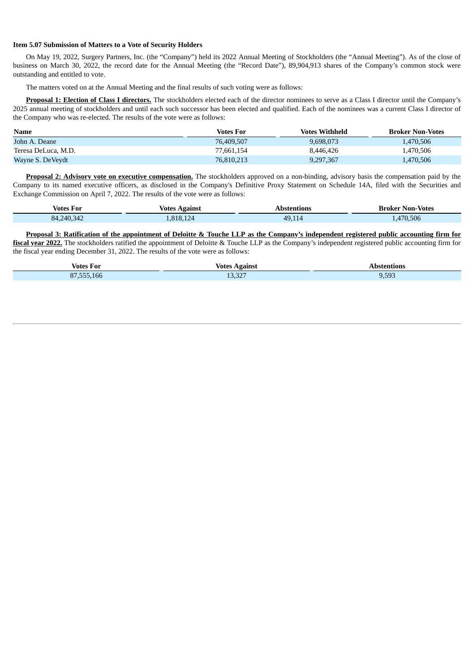#### **Item 5.07 Submission of Matters to a Vote of Security Holders**

On May 19, 2022, Surgery Partners, Inc. (the "Company") held its 2022 Annual Meeting of Stockholders (the "Annual Meeting"). As of the close of business on March 30, 2022, the record date for the Annual Meeting (the "Record Date"), 89,904,913 shares of the Company's common stock were outstanding and entitled to vote.

The matters voted on at the Annual Meeting and the final results of such voting were as follows:

**Proposal 1: Election of Class I directors.** The stockholders elected each of the director nominees to serve as a Class I director until the Company's 2025 annual meeting of stockholders and until each such successor has been elected and qualified. Each of the nominees was a current Class I director of the Company who was re-elected. The results of the vote were as follows:

| Name                | Votes For  | Votes Withheld | <b>Broker Non-Votes</b> |
|---------------------|------------|----------------|-------------------------|
| John A. Deane       | 76,409,507 | 9,698,073      | 1.470.506               |
| Teresa DeLuca, M.D. | 77,661,154 | 8.446.426      | 1.470.506               |
| Wayne S. DeVeydt    | 76,810,213 | 9,297,367      | 1,470,506               |

**Proposal 2: Advisory vote on executive compensation.** The stockholders approved on a non-binding, advisory basis the compensation paid by the Company to its named executive officers, as disclosed in the Company's Definitive Proxy Statement on Schedule 14A, filed with the Securities and Exchange Commission on April 7, 2022. The results of the vote were as follows:

| Votes For  | Votes Against | Abstentions | <b>Broker Non-Votes</b> |
|------------|---------------|-------------|-------------------------|
| 84,240,342 | .,818,124     | 49.11       | 1,470,506               |

Proposal 3: Ratification of the appointment of Deloitte & Touche LLP as the Company's independent registered public accounting firm for **fiscal year 2022.** The stockholders ratified the appointment of Deloitte & Touche LLP as the Company's independent registered public accounting firm for the fiscal year ending December 31, 2022. The results of the vote were as follows:

| . .<br>Votes<br>-For           | $\mathbf{r}$<br>Votes<br>Against | tentions |
|--------------------------------|----------------------------------|----------|
| $0.7.777$ $0.70$<br>-I bh<br>ה | 1000<br>10,04                    | 9,593    |